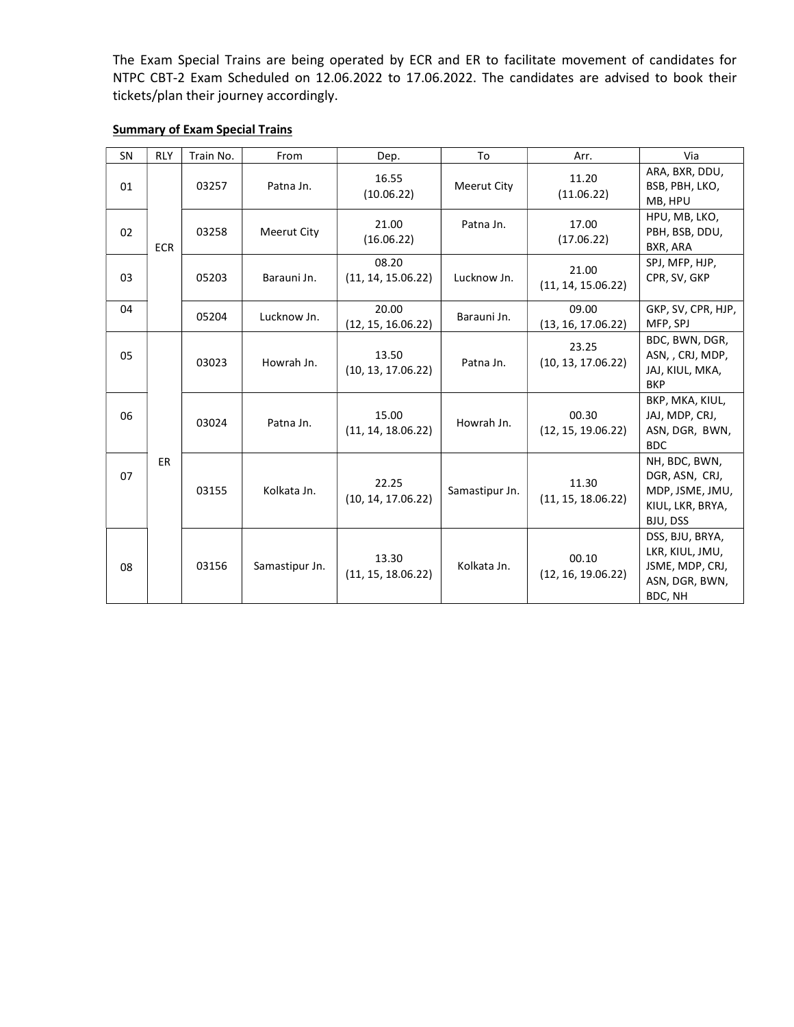The Exam Special Trains are being operated by ECR and ER to facilitate movement of candidates for NTPC CBT-2 Exam Scheduled on 12.06.2022 to 17.06.2022. The candidates are advised to book their tickets/plan their journey accordingly.

## Summary of Exam Special Trains

| SN | <b>RLY</b> | Train No. | From               | Dep.                        | To             | Arr.                        | Via                                                                                |
|----|------------|-----------|--------------------|-----------------------------|----------------|-----------------------------|------------------------------------------------------------------------------------|
| 01 | <b>ECR</b> | 03257     | Patna Jn.          | 16.55<br>(10.06.22)         | Meerut City    | 11.20<br>(11.06.22)         | ARA, BXR, DDU,<br>BSB, PBH, LKO,<br>MB, HPU                                        |
| 02 |            | 03258     | <b>Meerut City</b> | 21.00<br>(16.06.22)         | Patna Jn.      | 17.00<br>(17.06.22)         | HPU, MB, LKO,<br>PBH, BSB, DDU,<br>BXR, ARA                                        |
| 03 |            | 05203     | Barauni Jn.        | 08.20<br>(11, 14, 15.06.22) | Lucknow Jn.    | 21.00<br>(11, 14, 15.06.22) | SPJ, MFP, HJP,<br>CPR, SV, GKP                                                     |
| 04 |            | 05204     | Lucknow Jn.        | 20.00<br>(12, 15, 16.06.22) | Barauni Jn.    | 09.00<br>(13, 16, 17.06.22) | GKP, SV, CPR, HJP,<br>MFP, SPJ                                                     |
| 05 |            | 03023     | Howrah Jn.         | 13.50<br>(10, 13, 17.06.22) | Patna Jn.      | 23.25<br>(10, 13, 17.06.22) | BDC, BWN, DGR,<br>ASN, , CRJ, MDP,<br>JAJ, KIUL, MKA,<br><b>BKP</b>                |
| 06 |            | 03024     | Patna Jn.          | 15.00<br>(11, 14, 18.06.22) | Howrah Jn.     | 00.30<br>(12, 15, 19.06.22) | BKP, MKA, KIUL,<br>JAJ, MDP, CRJ,<br>ASN, DGR, BWN,<br><b>BDC</b>                  |
| 07 | ER.        | 03155     | Kolkata Jn.        | 22.25<br>(10, 14, 17.06.22) | Samastipur Jn. | 11.30<br>(11, 15, 18.06.22) | NH, BDC, BWN,<br>DGR, ASN, CRJ,<br>MDP, JSME, JMU,<br>KIUL, LKR, BRYA,<br>BJU, DSS |
| 08 |            | 03156     | Samastipur Jn.     | 13.30<br>(11, 15, 18.06.22) | Kolkata Jn.    | 00.10<br>(12, 16, 19.06.22) | DSS, BJU, BRYA,<br>LKR, KIUL, JMU,<br>JSME, MDP, CRJ,<br>ASN, DGR, BWN,<br>BDC, NH |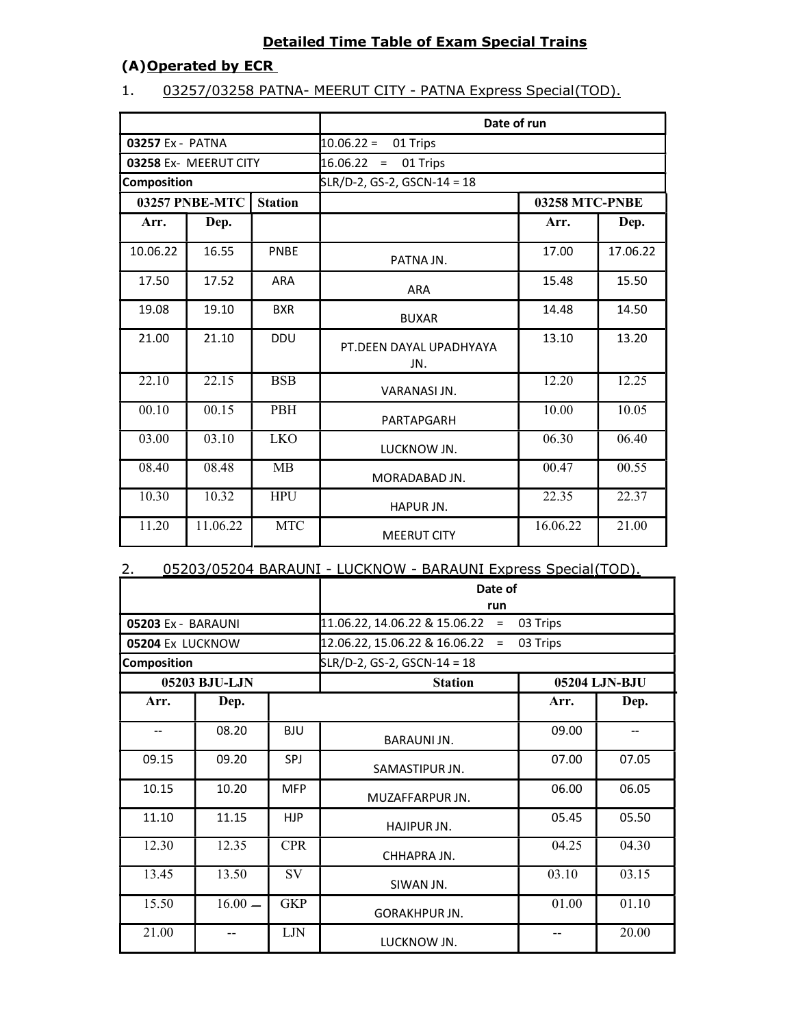## Detailed Time Table of Exam Special Trains

## (A)Operated by ECR

## 1. 03257/03258 PATNA- MEERUT CITY - PATNA Express Special (TOD).

|                                  |          |            | Date of run                    |                       |          |  |  |
|----------------------------------|----------|------------|--------------------------------|-----------------------|----------|--|--|
| 03257 Ex - PATNA                 |          |            | $10.06.22 =$<br>01 Trips       |                       |          |  |  |
| 03258 Ex- MEERUT CITY            |          |            | $16.06.22 =$<br>01 Trips       |                       |          |  |  |
| Composition                      |          |            | SLR/D-2, GS-2, GSCN-14 = 18    |                       |          |  |  |
| 03257 PNBE-MTC<br><b>Station</b> |          |            |                                | <b>03258 MTC-PNBE</b> |          |  |  |
| Arr.                             | Dep.     |            |                                | Arr.                  | Dep.     |  |  |
| 10.06.22                         | 16.55    | PNBE       | PATNA JN.                      | 17.00                 | 17.06.22 |  |  |
| 17.50                            | 17.52    | <b>ARA</b> | <b>ARA</b>                     | 15.48                 | 15.50    |  |  |
| 19.08                            | 19.10    | <b>BXR</b> | <b>BUXAR</b>                   | 14.48                 | 14.50    |  |  |
| 21.00                            | 21.10    | <b>DDU</b> | PT.DEEN DAYAL UPADHYAYA<br>JN. | 13.10                 | 13.20    |  |  |
| 22.10                            | 22.15    | <b>BSB</b> | VARANASI JN.                   | 12.20                 | 12.25    |  |  |
| 00.10                            | 00.15    | <b>PBH</b> | PARTAPGARH                     | 10.00                 | 10.05    |  |  |
| 03.00                            | 03.10    | <b>LKO</b> | LUCKNOW JN.                    | 06.30                 | 06.40    |  |  |
| 08.40                            | 08.48    | MB         | MORADABAD JN.                  | 00.47                 | 00.55    |  |  |
| 10.30                            | 10.32    | <b>HPU</b> | HAPUR JN.                      | 22.35                 | 22.37    |  |  |
| 11.20                            | 11.06.22 | <b>MTC</b> | <b>MEERUT CITY</b>             | 16.06.22              | 21.00    |  |  |

### 2. 05203/05204 BARAUNI - LUCKNOW - BARAUNI Express Special (TOD).

|                    |               |            | Date of<br>run                            |               |       |  |
|--------------------|---------------|------------|-------------------------------------------|---------------|-------|--|
| 05203 Ex - BARAUNI |               |            | 11.06.22, 14.06.22 & 15.06.22<br>$\equiv$ | 03 Trips      |       |  |
| 05204 Ex LUCKNOW   |               |            | 12.06.22, 15.06.22 & 16.06.22<br>$\equiv$ | 03 Trips      |       |  |
| Composition        |               |            | SLR/D-2, GS-2, GSCN-14 = 18               |               |       |  |
|                    | 05203 BJU-LJN |            | <b>Station</b>                            | 05204 LJN-BJU |       |  |
| Arr.               | Dep.          |            |                                           | Arr.          | Dep.  |  |
|                    | 08.20         | <b>BJU</b> | BARAUNI JN.                               | 09.00         |       |  |
| 09.15              | 09.20         | SPJ        | SAMASTIPUR JN.                            | 07.00         | 07.05 |  |
| 10.15              | 10.20         | <b>MFP</b> | MUZAFFARPUR JN.                           | 06.00         | 06.05 |  |
| 11.10              | 11.15         | <b>HJP</b> | HAJIPUR JN.                               | 05.45         | 05.50 |  |
| 12.30              | 12.35         | <b>CPR</b> | CHHAPRA JN.                               | 04.25         | 04.30 |  |
| 13.45              | 13.50         | <b>SV</b>  | SIWAN JN.                                 | 03.10         | 03.15 |  |
| 15.50              | $16.00 -$     | <b>GKP</b> | GORAKHPUR JN.                             | 01.00         | 01.10 |  |
| 21.00              |               | LJN        | LUCKNOW JN.                               |               | 20.00 |  |